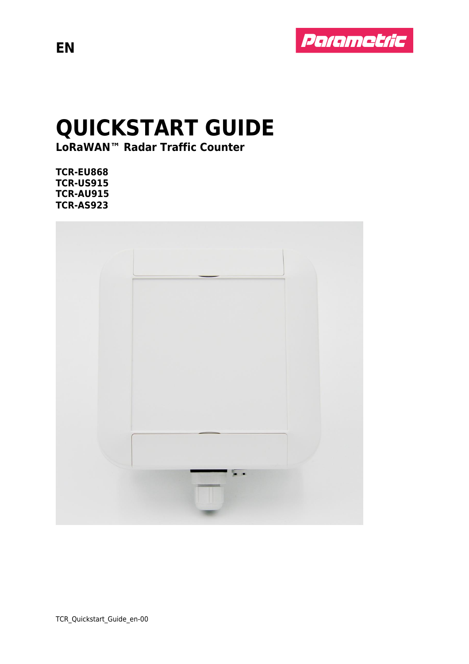

# **QUICKSTART GUIDE**

**LoRaWAN™ Radar Traffic Counter**

**TCR-EU868 TCR-US915 TCR-AU915 TCR-AS923**

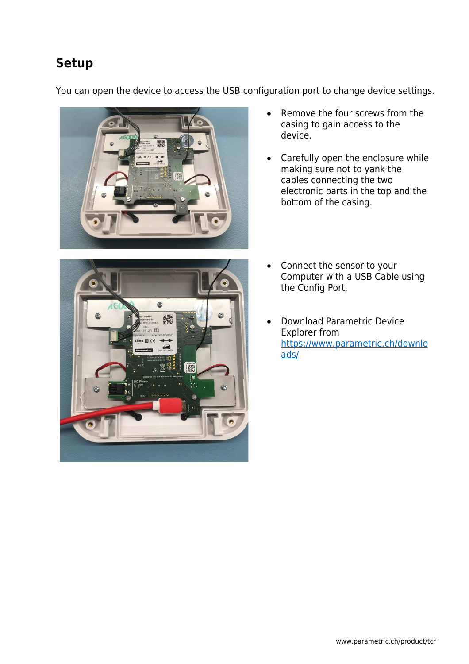## **Setup**

You can open the device to access the USB configuration port to change device settings.





- Remove the four screws from the casing to gain access to the device.
- Carefully open the enclosure while making sure not to yank the cables connecting the two electronic parts in the top and the bottom of the casing.
- Connect the sensor to your Computer with a USB Cable using the Config Port.
- Download Parametric Device Explorer from [https://www.parametric.ch/downlo](https://www.parametric.ch/downloads/) [ads/](https://www.parametric.ch/downloads/)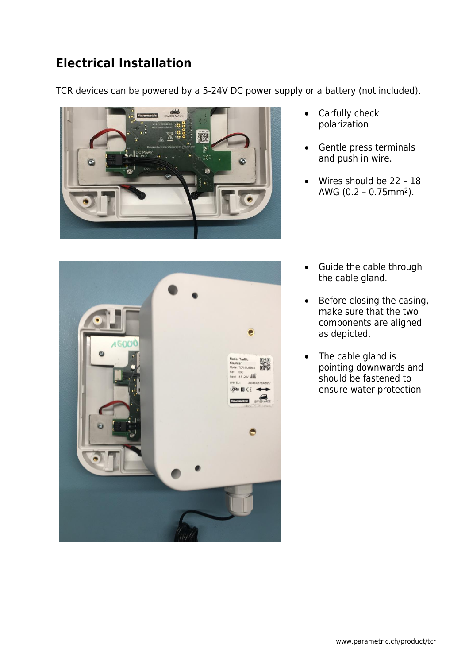## **Electrical Installation**

TCR devices can be powered by a 5-24V DC power supply or a battery (not included).



- Carfully check polarization
- Gentle press terminals and push in wire.
- Wires should be 22 18 AWG (0.2 – 0.75mm2).

• Guide the cable through

- the cable gland. • Before closing the casing, make sure that the two components are aligned as depicted.
	- The cable gland is pointing downwards and should be fastened to ensure water protection

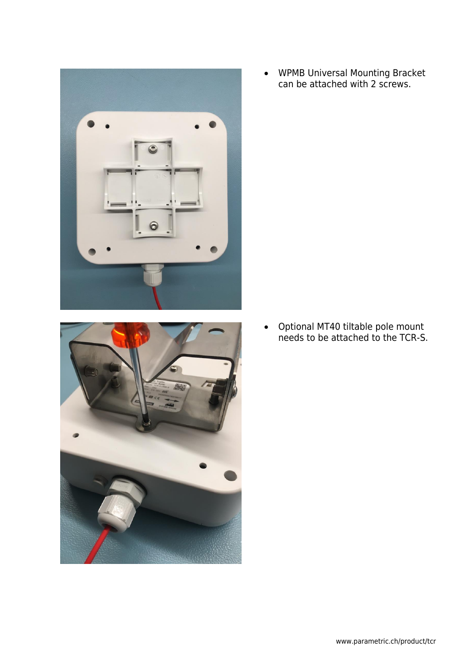



• WPMB Universal Mounting Bracket can be attached with 2 screws.

• Optional MT40 tiltable pole mount needs to be attached to the TCR-S.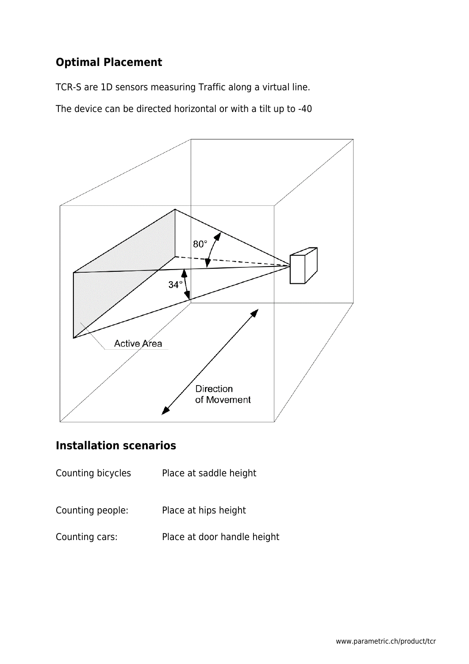#### **Optimal Placement**

TCR-S are 1D sensors measuring Traffic along a virtual line.

The device can be directed horizontal or with a tilt up to -40



#### **Installation scenarios**

| Counting bicycles | Place at saddle height      |
|-------------------|-----------------------------|
| Counting people:  | Place at hips height        |
| Counting cars:    | Place at door handle height |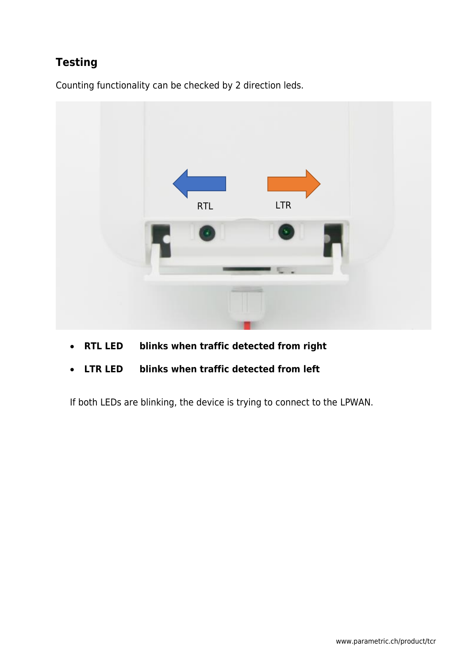### **Testing**

Counting functionality can be checked by 2 direction leds.



- **RTL LED blinks when traffic detected from right**
- **LTR LED blinks when traffic detected from left**

If both LEDs are blinking, the device is trying to connect to the LPWAN.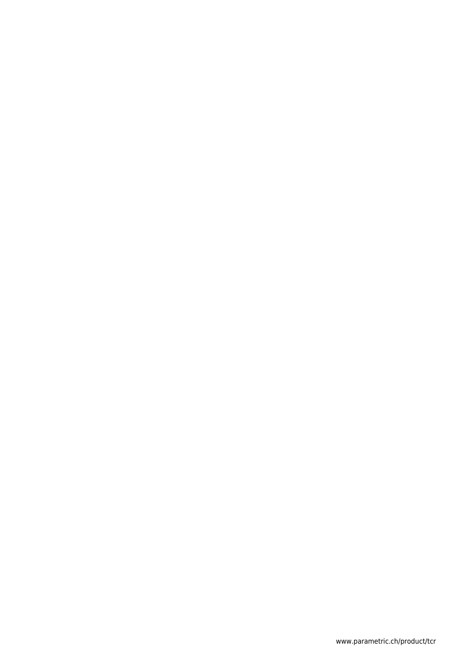www.parametric.ch/product/tcr